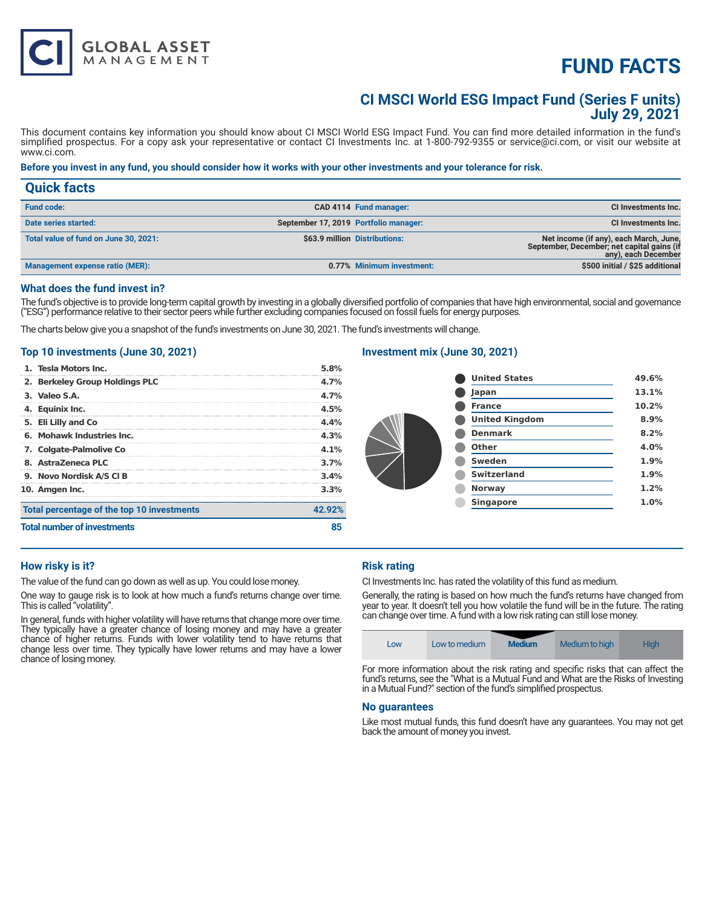# **FUND FACTS**

# **CI MSCI World ESG Impact Fund (Series F units) July 29, 2021**

This document contains key information you should know about CI MSCI World ESG Impact Fund. You can find more detailed information in the fund's simplified prospectus. For a copy ask your representative or contact CI Investments Inc. at 1-800-792-9355 or service@ci.com, or visit our website at www.ci.com.

# **Before you invest in any fund, you should consider how it works with your other investments and your tolerance for risk.**

| <b>Quick facts</b>                    |                                       |                               |                                                                                                             |
|---------------------------------------|---------------------------------------|-------------------------------|-------------------------------------------------------------------------------------------------------------|
| <b>Fund code:</b>                     |                                       | CAD 4114 Fund manager:        | CI Investments Inc.                                                                                         |
| Date series started:                  | September 17, 2019 Portfolio manager: |                               | CI Investments Inc.                                                                                         |
| Total value of fund on June 30, 2021: |                                       | \$63.9 million Distributions: | Net income (if any), each March, June,<br>September, December; net capital gains (if<br>any), each December |
| Management expense ratio (MER):       |                                       | 0.77% Minimum investment:     | \$500 initial / \$25 additional                                                                             |

#### **What does the fund invest in?**

The fund's objective is to provide long-term capital growth by investing in a globally diversified portfolio of companies that have high environmental, social and governance ("ESG") performance relative to their sector peers while further excluding companies focused on fossil fuels for energy purposes.

The charts below give you a snapshot of the fund's investments on June 30, 2021. The fund's investments will change.

# **Top 10 investments (June 30, 2021)**

**GLOBAL ASSET**<br>MANAGEMENT

| <b>Total number of investments</b>         |        |
|--------------------------------------------|--------|
| Total percentage of the top 10 investments | 42.92% |
| 10. Amgen Inc.                             | 3.3%   |
| 9. Novo Nordisk A/S CI B                   | 3.4%   |
| 8. AstraZeneca PLC                         | 3.7%   |
| 7. Colgate-Palmolive Co                    | 4.1%   |
| 6. Mohawk Industries Inc.                  | 4.3%   |
| 5. Eli Lilly and Co                        | 4.4%   |
| 4. Equinix Inc.                            | 4.5%   |
| 3. Valeo S.A.                              | 4.7%   |
| 2. Berkeley Group Holdings PLC             | 4.7%   |
| 1. Tesla Motors Inc.                       | 5.8%   |

# **Investment mix (June 30, 2021)**

| <b>United States</b>  | 49.6% |
|-----------------------|-------|
| Japan                 | 13.1% |
| <b>France</b>         | 10.2% |
| <b>United Kingdom</b> | 8.9%  |
| <b>Denmark</b>        | 8.2%  |
| Other                 | 4.0%  |
| Sweden                | 1.9%  |
| <b>Switzerland</b>    | 1.9%  |
| <b>Norway</b>         | 1.2%  |
| <b>Singapore</b>      | 1.0%  |
|                       |       |

# **How risky is it?**

The value of the fund can go down as well as up. You could lose money.

One way to gauge risk is to look at how much a fund's returns change over time. This is called "volatility".

In general, funds with higher volatility will have returns that change more over time. They typically have a greater chance of losing money and may have a greater chance of higher returns. Funds with lower volatility tend to have returns that change less over time. They typically have lower returns and may have a lower chance of losing money.

# **Risk rating**

CI Investments Inc. has rated the volatility of this fund as medium.

Generally, the rating is based on how much the fund's returns have changed from year to year. It doesn't tell you how volatile the fund will be in the future. The rating can change over time. A fund with a low risk rating can still lose money.

| LOW | Low to medium | <b>Medium</b> | Medium to high | Hiah |
|-----|---------------|---------------|----------------|------|

For more information about the risk rating and specific risks that can affect the fund's returns, see the "What is a Mutual Fund and What are the Risks of Investing in a Mutual Fund?" section of the fund's simplified prospectus.

#### **No guarantees**

Like most mutual funds, this fund doesn't have any guarantees. You may not get back the amount of money you invest.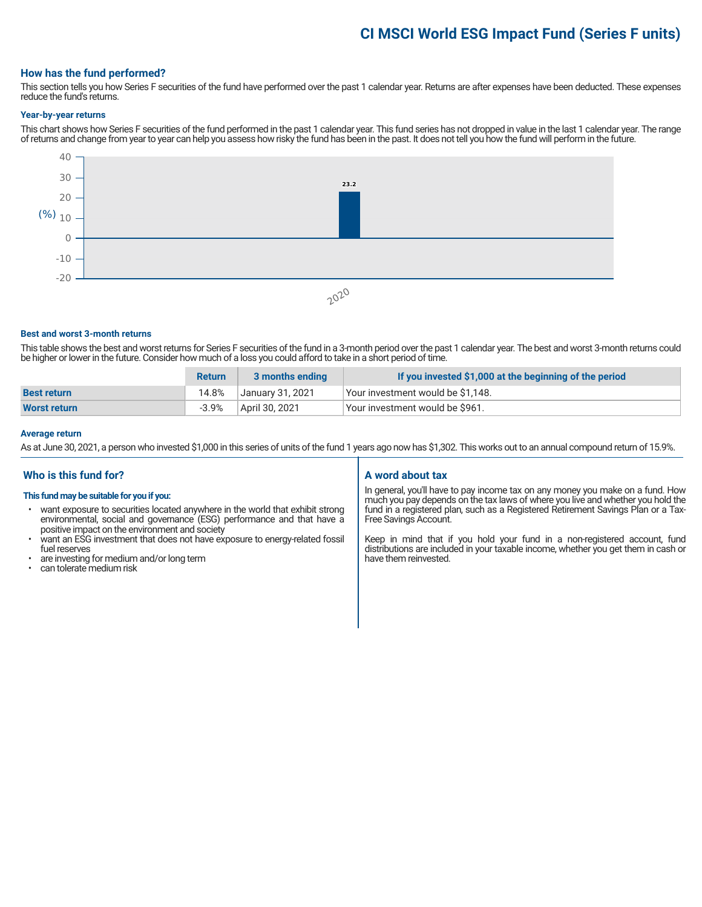# **CI MSCI World ESG Impact Fund (Series F units)**

# **How has the fund performed?**

This section tells you how Series F securities of the fund have performed over the past 1 calendar year. Returns are after expenses have been deducted. These expenses reduce the fund's returns.

#### **Year-by-year returns**

This chart shows how Series F securities of the fund performed in the past 1 calendar year. This fund series has not dropped in value in the last 1 calendar year. The range of returns and change from year to year can help you assess how risky the fund has been in the past. It does not tell you how the fund will perform in the future.



#### **Best and worst 3-month returns**

This table shows the best and worst returns for Series F securities of the fund in a 3-month period over the past 1 calendar year. The best and worst 3-month returns could be higher or lower in the future. Consider how much of a loss you could afford to take in a short period of time.

|                     | <b>Return</b> | 3 months ending  | If you invested \$1,000 at the beginning of the period |
|---------------------|---------------|------------------|--------------------------------------------------------|
| <b>Best return</b>  | 14.8%         | January 31, 2021 | Your investment would be \$1.148.                      |
| <b>Worst return</b> | $-3.9%$       | April 30, 2021   | Your investment would be \$961.                        |

#### **Average return**

As at June 30, 2021, a person who invested \$1,000 in this series of units of the fund 1 years ago now has \$1,302. This works out to an annual compound return of 15.9%.

# **Who is this fund for?**

#### **This fund may be suitable for you if you:**

- want exposure to securities located anywhere in the world that exhibit strong environmental, social and governance (ESG) performance and that have a positive impact on the environment and society
- want an ESG investment that does not have exposure to energy-related fossil fuel reserves
- are investing for medium and/or long term
- can tolerate medium risk

# **A word about tax**

In general, you'll have to pay income tax on any money you make on a fund. How much you pay depends on the tax laws of where you live and whether you hold the fund in a registered plan, such as a Registered Retirement Savings Plan or a Tax-Free Savings Account.

Keep in mind that if you hold your fund in a non-registered account, fund distributions are included in your taxable income, whether you get them in cash or have them reinvested.